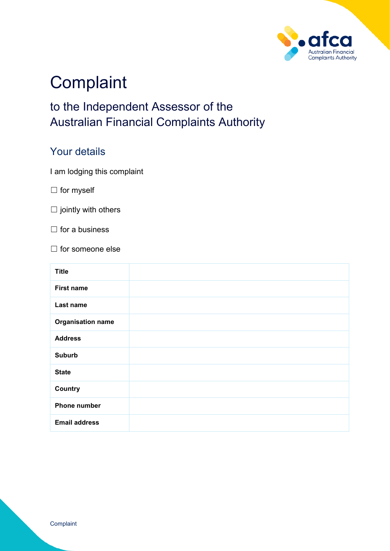

# **Complaint**

# to the Independent Assessor of the Australian Financial Complaints Authority

#### Your details

I am lodging this complaint

□ for myself

 $\Box$  jointly with others

 $\Box$  for a business

☐ for someone else

| <b>Title</b>             |  |
|--------------------------|--|
| <b>First name</b>        |  |
| Last name                |  |
| <b>Organisation name</b> |  |
| <b>Address</b>           |  |
| <b>Suburb</b>            |  |
| <b>State</b>             |  |
| <b>Country</b>           |  |
| <b>Phone number</b>      |  |
| <b>Email address</b>     |  |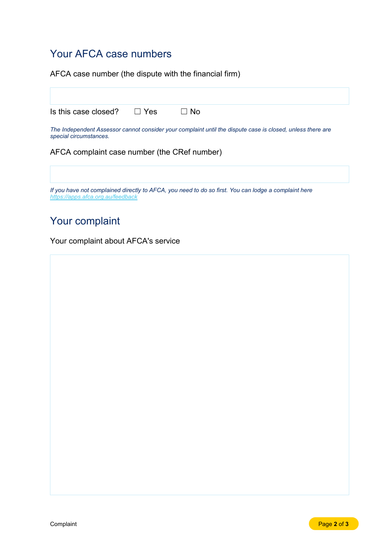## Your AFCA case numbers

AFCA case number (the dispute with the financial firm)

Is this case closed? □ Yes □ No

*The Independent Assessor cannot consider your complaint until the dispute case is closed, unless there are special circumstances.*

AFCA complaint case number (the CRef number)

*If you have not complained directly to AFCA, you need to do so first. You can lodge a complaint here <https://apps.afca.org.au/feedback>*

### Your complaint

Your complaint about AFCA's service